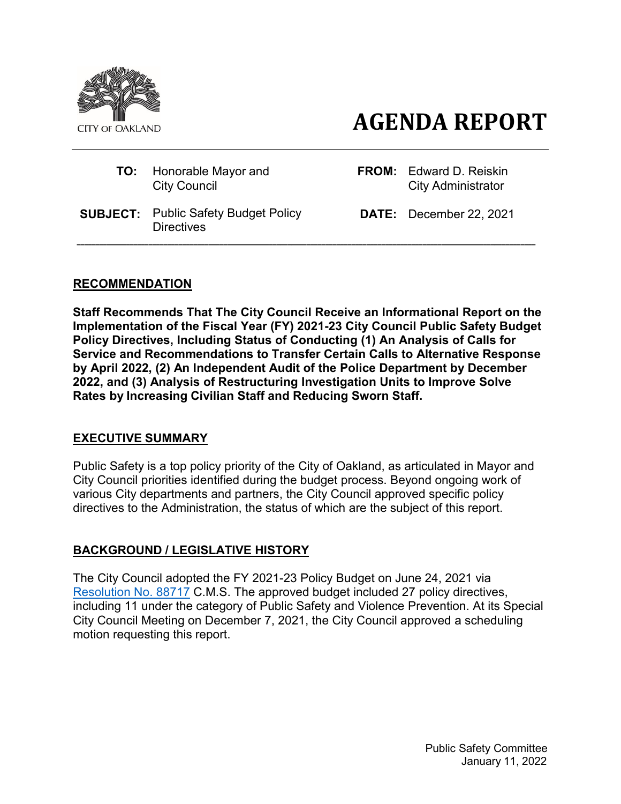

# **AGENDA REPORT**

# **TO:** Honorable Mayor and **FROM:** Edward D. Reiskin

- City Council **City Council** City Administrator
- **SUBJECT:** Public Safety Budget Policy **Directives**

**DATE:** December 22, 2021

#### **RECOMMENDATION**

**Staff Recommends That The City Council Receive an Informational Report on the Implementation of the Fiscal Year (FY) 2021-23 City Council Public Safety Budget Policy Directives, Including Status of Conducting (1) An Analysis of Calls for Service and Recommendations to Transfer Certain Calls to Alternative Response by April 2022, (2) An Independent Audit of the Police Department by December 2022, and (3) Analysis of Restructuring Investigation Units to Improve Solve Rates by Increasing Civilian Staff and Reducing Sworn Staff.**

 **\_\_\_\_\_\_\_\_\_\_\_\_\_\_\_\_\_\_\_\_\_\_\_\_\_\_\_\_\_\_\_\_\_\_\_\_\_\_\_\_\_\_\_\_\_\_\_\_\_\_\_\_\_\_\_\_\_\_\_\_\_\_\_\_\_\_\_\_\_\_\_\_\_\_\_\_\_\_\_\_\_\_\_\_\_\_\_\_\_\_\_\_\_\_\_\_\_\_\_\_\_\_\_\_\_\_\_\_\_\_\_\_\_\_\_\_\_\_\_\_\_\_**

#### **EXECUTIVE SUMMARY**

Public Safety is a top policy priority of the City of Oakland, as articulated in Mayor and City Council priorities identified during the budget process. Beyond ongoing work of various City departments and partners, the City Council approved specific policy directives to the Administration, the status of which are the subject of this report.

# **BACKGROUND / LEGISLATIVE HISTORY**

The City Council adopted the FY 2021-23 Policy Budget on June 24, 2021 via [Resolution No. 88717](https://oakland.legistar.com/LegislationDetail.aspx?ID=4959103&GUID=0CB865F7-F29B-48E9-B5DA-67AF141A06B0) C.M.S. The approved budget included 27 policy directives, including 11 under the category of Public Safety and Violence Prevention. At its Special City Council Meeting on December 7, 2021, the City Council approved a scheduling motion requesting this report.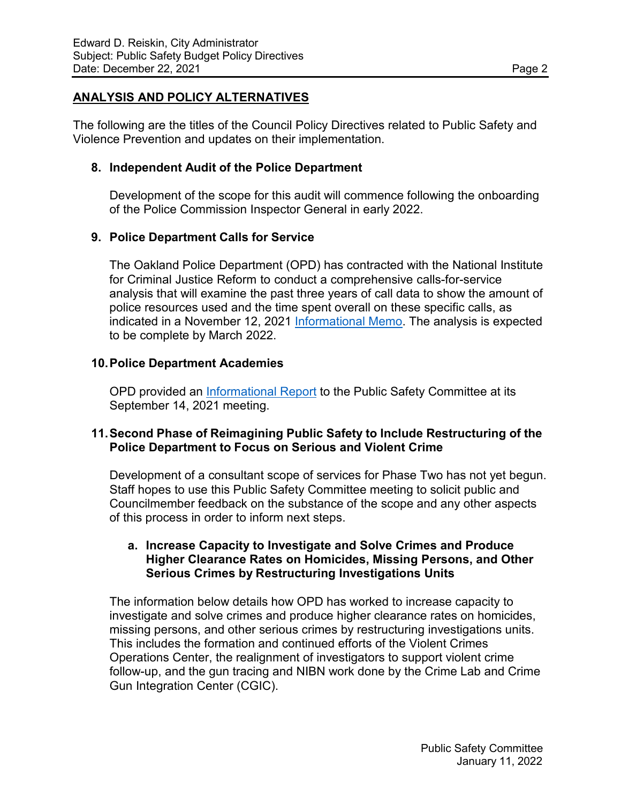# **ANALYSIS AND POLICY ALTERNATIVES**

The following are the titles of the Council Policy Directives related to Public Safety and Violence Prevention and updates on their implementation.

#### **8. Independent Audit of the Police Department**

Development of the scope for this audit will commence following the onboarding of the Police Commission Inspector General in early 2022.

#### **9. Police Department Calls for Service**

The Oakland Police Department (OPD) has contracted with the National Institute for Criminal Justice Reform to conduct a comprehensive calls-for-service analysis that will examine the past three years of call data to show the amount of police resources used and the time spent overall on these specific calls, as indicated in a November 12, 2021 [Informational Memo.](https://cao-94612.s3.amazonaws.com/documents/OPD-Info-Memo-Calls-for-Service-Analysis-11.16.21-REVISED.pdf) The analysis is expected to be complete by March 2022.

#### **10.Police Department Academies**

OPD provided an [Informational Report](https://oakland.legistar.com/LegislationDetail.aspx?ID=5014871&GUID=1C2B39CF-9018-43F4-824E-C08619F823FC) to the Public Safety Committee at its September 14, 2021 meeting.

#### **11.Second Phase of Reimagining Public Safety to Include Restructuring of the Police Department to Focus on Serious and Violent Crime**

Development of a consultant scope of services for Phase Two has not yet begun. Staff hopes to use this Public Safety Committee meeting to solicit public and Councilmember feedback on the substance of the scope and any other aspects of this process in order to inform next steps.

#### **a. Increase Capacity to Investigate and Solve Crimes and Produce Higher Clearance Rates on Homicides, Missing Persons, and Other Serious Crimes by Restructuring Investigations Units**

The information below details how OPD has worked to increase capacity to investigate and solve crimes and produce higher clearance rates on homicides, missing persons, and other serious crimes by restructuring investigations units. This includes the formation and continued efforts of the Violent Crimes Operations Center, the realignment of investigators to support violent crime follow-up, and the gun tracing and NIBN work done by the Crime Lab and Crime Gun Integration Center (CGIC).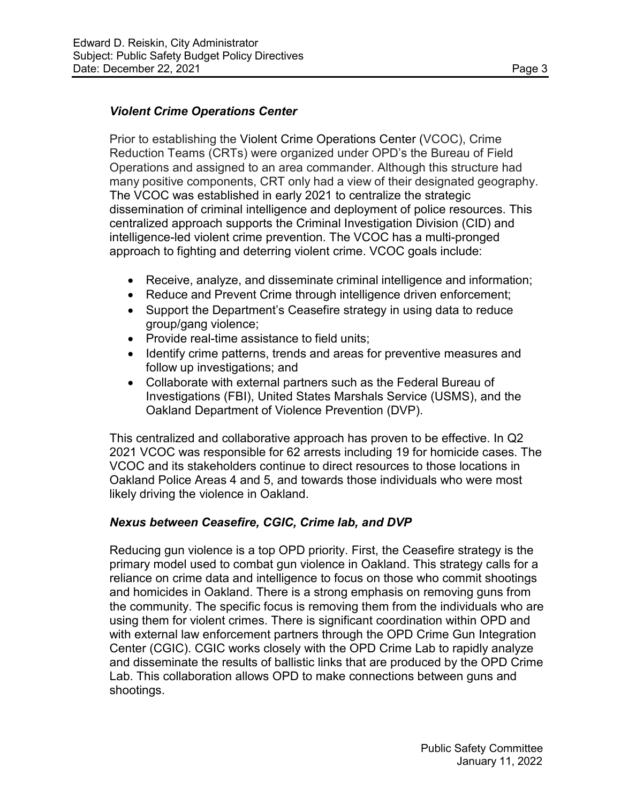# *Violent Crime Operations Center*

Prior to establishing the Violent Crime Operations Center (VCOC), Crime Reduction Teams (CRTs) were organized under OPD's the Bureau of Field Operations and assigned to an area commander. Although this structure had many positive components, CRT only had a view of their designated geography. The VCOC was established in early 2021 to centralize the strategic dissemination of criminal intelligence and deployment of police resources. This centralized approach supports the Criminal Investigation Division (CID) and intelligence-led violent crime prevention. The VCOC has a multi-pronged approach to fighting and deterring violent crime. VCOC goals include:

- Receive, analyze, and disseminate criminal intelligence and information;
- Reduce and Prevent Crime through intelligence driven enforcement;
- Support the Department's Ceasefire strategy in using data to reduce group/gang violence;
- Provide real-time assistance to field units;
- Identify crime patterns, trends and areas for preventive measures and follow up investigations; and
- Collaborate with external partners such as the Federal Bureau of Investigations (FBI), United States Marshals Service (USMS), and the Oakland Department of Violence Prevention (DVP).

This centralized and collaborative approach has proven to be effective. In Q2 2021 VCOC was responsible for 62 arrests including 19 for homicide cases. The VCOC and its stakeholders continue to direct resources to those locations in Oakland Police Areas 4 and 5, and towards those individuals who were most likely driving the violence in Oakland.

# *Nexus between Ceasefire, CGIC, Crime lab, and DVP*

Reducing gun violence is a top OPD priority. First, the Ceasefire strategy is the primary model used to combat gun violence in Oakland. This strategy calls for a reliance on crime data and intelligence to focus on those who commit shootings and homicides in Oakland. There is a strong emphasis on removing guns from the community. The specific focus is removing them from the individuals who are using them for violent crimes. There is significant coordination within OPD and with external law enforcement partners through the OPD Crime Gun Integration Center (CGIC). CGIC works closely with the OPD Crime Lab to rapidly analyze and disseminate the results of ballistic links that are produced by the OPD Crime Lab. This collaboration allows OPD to make connections between guns and shootings.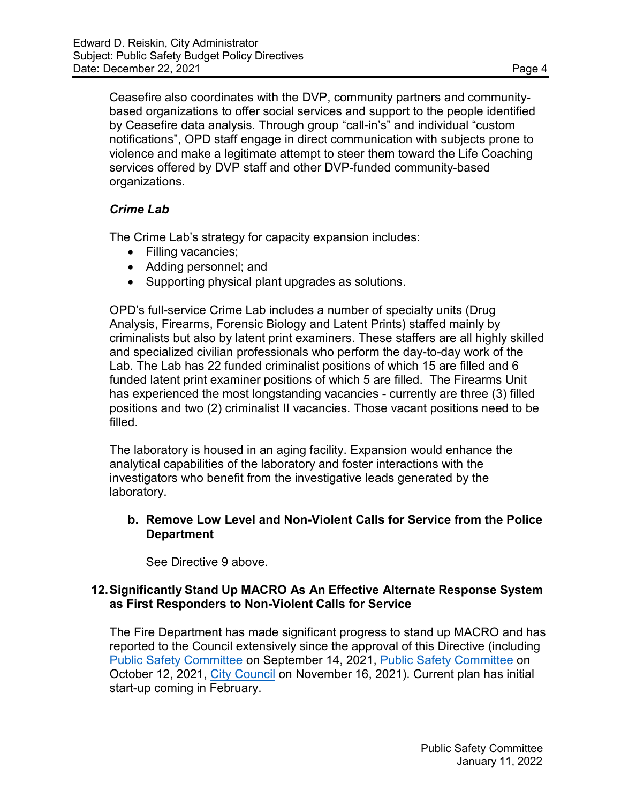Ceasefire also coordinates with the DVP, community partners and communitybased organizations to offer social services and support to the people identified by Ceasefire data analysis. Through group "call-in's" and individual "custom notifications", OPD staff engage in direct communication with subjects prone to violence and make a legitimate attempt to steer them toward the Life Coaching services offered by DVP staff and other DVP-funded community-based organizations.

# *Crime Lab*

The Crime Lab's strategy for capacity expansion includes:

- Filling vacancies;
- Adding personnel; and
- Supporting physical plant upgrades as solutions.

OPD's full-service Crime Lab includes a number of specialty units (Drug Analysis, Firearms, Forensic Biology and Latent Prints) staffed mainly by criminalists but also by latent print examiners. These staffers are all highly skilled and specialized civilian professionals who perform the day-to-day work of the Lab. The Lab has 22 funded criminalist positions of which 15 are filled and 6 funded latent print examiner positions of which 5 are filled. The Firearms Unit has experienced the most longstanding vacancies - currently are three (3) filled positions and two (2) criminalist II vacancies. Those vacant positions need to be filled.

The laboratory is housed in an aging facility. Expansion would enhance the analytical capabilities of the laboratory and foster interactions with the investigators who benefit from the investigative leads generated by the laboratory.

# **b. Remove Low Level and Non-Violent Calls for Service from the Police Department**

See Directive 9 above.

# **12.Significantly Stand Up MACRO As An Effective Alternate Response System as First Responders to Non-Violent Calls for Service**

The Fire Department has made significant progress to stand up MACRO and has reported to the Council extensively since the approval of this Directive (including [Public Safety Committee](https://oakland.legistar.com/LegislationDetail.aspx?ID=5065151&GUID=484C8BF6-77AF-4B8C-8C25-05B9F9D0D3C5) on September 14, 2021, [Public Safety Committee](https://oakland.legistar.com/LegislationDetail.aspx?ID=5137644&GUID=81854B21-84C3-497E-8B28-B86682F8F105) on October 12, 2021, [City Council](https://oakland.legistar.com/LegislationDetail.aspx?ID=5202764&GUID=A8064BAF-CA74-4A74-9141-2C19C1882468) on November 16, 2021). Current plan has initial start-up coming in February.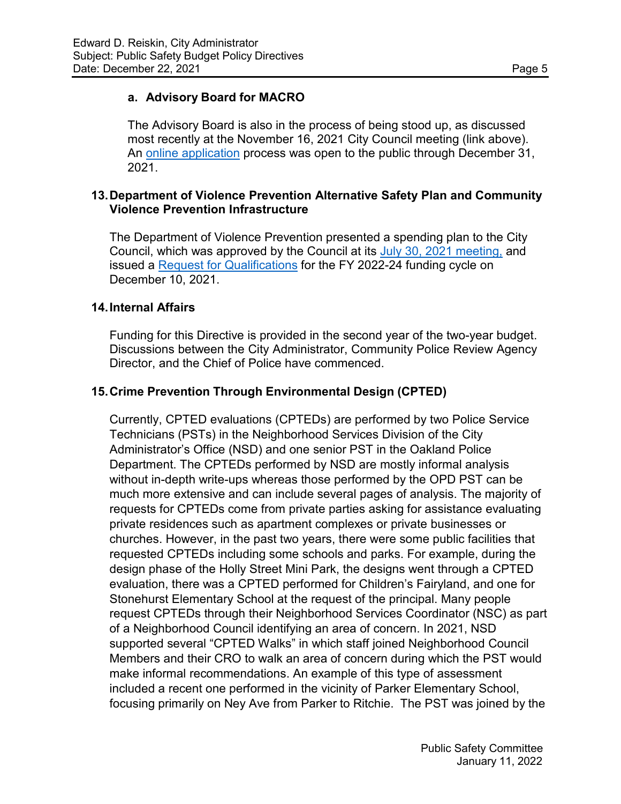# **a. Advisory Board for MACRO**

The Advisory Board is also in the process of being stood up, as discussed most recently at the November 16, 2021 City Council meeting (link above). An [online application](https://www.surveymonkey.com/r/MACRO_Advisory_Board) process was open to the public through December 31, 2021.

#### **13.Department of Violence Prevention Alternative Safety Plan and Community Violence Prevention Infrastructure**

The Department of Violence Prevention presented a spending plan to the City Council, which was approved by the Council at its [July 30, 2021 meeting,](https://oakland.legistar.com/LegislationDetail.aspx?ID=4952302&GUID=41F90509-BFF7-4023-98A3-3D6C02BC0825) and issued a [Request for Qualifications](https://cao-94612.s3.amazonaws.com/documents/DVP_RFQ-2022-2024-Main-Document-Instructions-FINAL-1.pdf) for the FY 2022-24 funding cycle on December 10, 2021.

# **14.Internal Affairs**

Funding for this Directive is provided in the second year of the two-year budget. Discussions between the City Administrator, Community Police Review Agency Director, and the Chief of Police have commenced.

# **15.Crime Prevention Through Environmental Design (CPTED)**

Currently, CPTED evaluations (CPTEDs) are performed by two Police Service Technicians (PSTs) in the Neighborhood Services Division of the City Administrator's Office (NSD) and one senior PST in the Oakland Police Department. The CPTEDs performed by NSD are mostly informal analysis without in-depth write-ups whereas those performed by the OPD PST can be much more extensive and can include several pages of analysis. The majority of requests for CPTEDs come from private parties asking for assistance evaluating private residences such as apartment complexes or private businesses or churches. However, in the past two years, there were some public facilities that requested CPTEDs including some schools and parks. For example, during the design phase of the Holly Street Mini Park, the designs went through a CPTED evaluation, there was a CPTED performed for Children's Fairyland, and one for Stonehurst Elementary School at the request of the principal. Many people request CPTEDs through their Neighborhood Services Coordinator (NSC) as part of a Neighborhood Council identifying an area of concern. In 2021, NSD supported several "CPTED Walks" in which staff joined Neighborhood Council Members and their CRO to walk an area of concern during which the PST would make informal recommendations. An example of this type of assessment included a recent one performed in the vicinity of Parker Elementary School, focusing primarily on Ney Ave from Parker to Ritchie. The PST was joined by the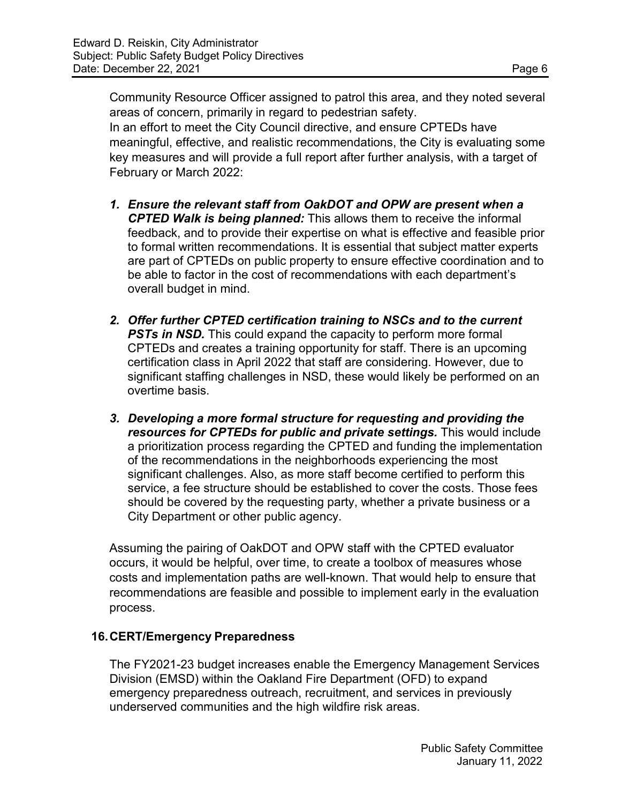Community Resource Officer assigned to patrol this area, and they noted several areas of concern, primarily in regard to pedestrian safety. In an effort to meet the City Council directive, and ensure CPTEDs have meaningful, effective, and realistic recommendations, the City is evaluating some key measures and will provide a full report after further analysis, with a target of February or March 2022:

- *1. Ensure the relevant staff from OakDOT and OPW are present when a CPTED Walk is being planned:* This allows them to receive the informal feedback, and to provide their expertise on what is effective and feasible prior to formal written recommendations. It is essential that subject matter experts are part of CPTEDs on public property to ensure effective coordination and to be able to factor in the cost of recommendations with each department's overall budget in mind.
- *2. Offer further CPTED certification training to NSCs and to the current* **PSTs in NSD.** This could expand the capacity to perform more formal CPTEDs and creates a training opportunity for staff. There is an upcoming certification class in April 2022 that staff are considering. However, due to significant staffing challenges in NSD, these would likely be performed on an overtime basis.
- *3. Developing a more formal structure for requesting and providing the* **resources for CPTEDs for public and private settings.** This would include a prioritization process regarding the CPTED and funding the implementation of the recommendations in the neighborhoods experiencing the most significant challenges. Also, as more staff become certified to perform this service, a fee structure should be established to cover the costs. Those fees should be covered by the requesting party, whether a private business or a City Department or other public agency.

Assuming the pairing of OakDOT and OPW staff with the CPTED evaluator occurs, it would be helpful, over time, to create a toolbox of measures whose costs and implementation paths are well-known. That would help to ensure that recommendations are feasible and possible to implement early in the evaluation process.

#### **16.CERT/Emergency Preparedness**

The FY2021-23 budget increases enable the Emergency Management Services Division (EMSD) within the Oakland Fire Department (OFD) to expand emergency preparedness outreach, recruitment, and services in previously underserved communities and the high wildfire risk areas.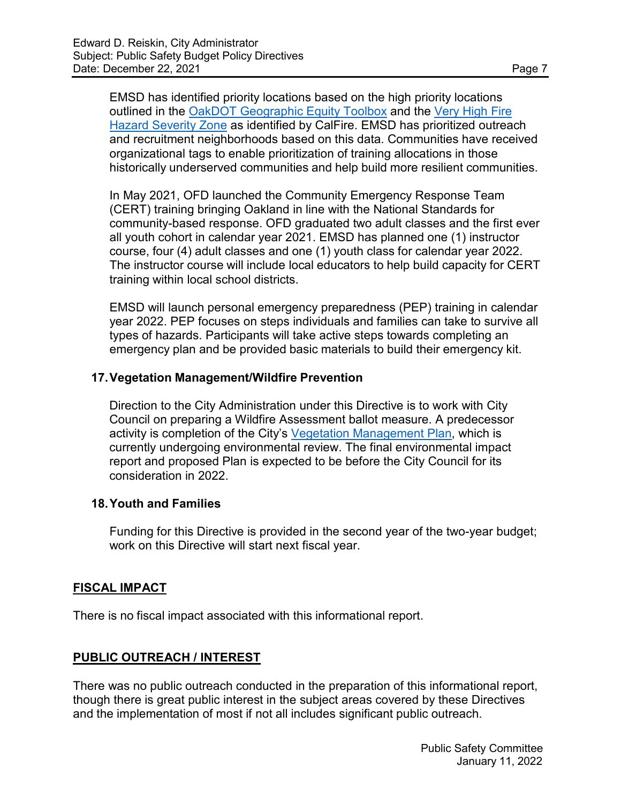EMSD has identified priority locations based on the high priority locations outlined in the [OakDOT Geographic Equity Toolbox](https://www.oaklandca.gov/resources/oakdot-geographic-equity-toolbox) and the [Very High Fire](https://egis.fire.ca.gov/FHSZ/) [Hazard Severity Zone](https://egis.fire.ca.gov/FHSZ/) as identified by CalFire. EMSD has prioritized outreach and recruitment neighborhoods based on this data. Communities have received organizational tags to enable prioritization of training allocations in those historically underserved communities and help build more resilient communities.

In May 2021, OFD launched the Community Emergency Response Team (CERT) training bringing Oakland in line with the National Standards for community-based response. OFD graduated two adult classes and the first ever all youth cohort in calendar year 2021. EMSD has planned one (1) instructor course, four (4) adult classes and one (1) youth class for calendar year 2022. The instructor course will include local educators to help build capacity for CERT training within local school districts.

EMSD will launch personal emergency preparedness (PEP) training in calendar year 2022. PEP focuses on steps individuals and families can take to survive all types of hazards. Participants will take active steps towards completing an emergency plan and be provided basic materials to build their emergency kit.

# **17.Vegetation Management/Wildfire Prevention**

Direction to the City Administration under this Directive is to work with City Council on preparing a Wildfire Assessment ballot measure. A predecessor activity is completion of the City's [Vegetation Management Plan,](https://www.oaklandca.gov/projects/oakland-vegetation-management-plan) which is currently undergoing environmental review. The final environmental impact report and proposed Plan is expected to be before the City Council for its consideration in 2022.

# **18.Youth and Families**

Funding for this Directive is provided in the second year of the two-year budget; work on this Directive will start next fiscal year.

# **FISCAL IMPACT**

There is no fiscal impact associated with this informational report.

# **PUBLIC OUTREACH / INTEREST**

There was no public outreach conducted in the preparation of this informational report, though there is great public interest in the subject areas covered by these Directives and the implementation of most if not all includes significant public outreach.